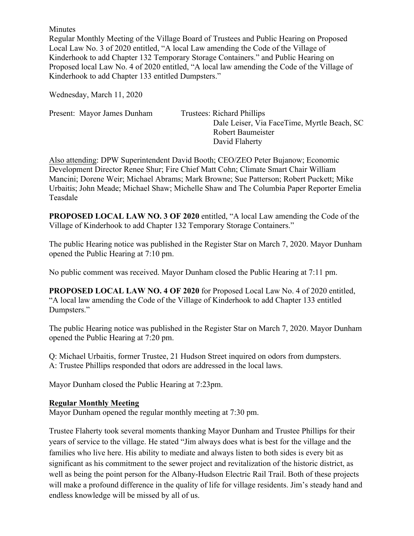Minutes

Regular Monthly Meeting of the Village Board of Trustees and Public Hearing on Proposed Local Law No. 3 of 2020 entitled, "A local Law amending the Code of the Village of Kinderhook to add Chapter 132 Temporary Storage Containers." and Public Hearing on Proposed local Law No. 4 of 2020 entitled, "A local law amending the Code of the Village of Kinderhook to add Chapter 133 entitled Dumpsters."

Wednesday, March 11, 2020

Present: Mayor James Dunham Trustees: Richard Phillips

 Dale Leiser, Via FaceTime, Myrtle Beach, SC Robert Baumeister David Flaherty

Also attending: DPW Superintendent David Booth; CEO/ZEO Peter Bujanow; Economic Development Director Renee Shur; Fire Chief Matt Cohn; Climate Smart Chair William Mancini; Dorene Weir; Michael Abrams; Mark Browne; Sue Patterson; Robert Puckett; Mike Urbaitis; John Meade; Michael Shaw; Michelle Shaw and The Columbia Paper Reporter Emelia Teasdale

**PROPOSED LOCAL LAW NO. 3 OF 2020** entitled, "A local Law amending the Code of the Village of Kinderhook to add Chapter 132 Temporary Storage Containers."

The public Hearing notice was published in the Register Star on March 7, 2020. Mayor Dunham opened the Public Hearing at 7:10 pm.

No public comment was received. Mayor Dunham closed the Public Hearing at 7:11 pm.

**PROPOSED LOCAL LAW NO. 4 OF 2020** for Proposed Local Law No. 4 of 2020 entitled, "A local law amending the Code of the Village of Kinderhook to add Chapter 133 entitled Dumpsters."

The public Hearing notice was published in the Register Star on March 7, 2020. Mayor Dunham opened the Public Hearing at 7:20 pm.

Q: Michael Urbaitis, former Trustee, 21 Hudson Street inquired on odors from dumpsters. A: Trustee Phillips responded that odors are addressed in the local laws.

Mayor Dunham closed the Public Hearing at 7:23pm.

#### **Regular Monthly Meeting**

Mayor Dunham opened the regular monthly meeting at 7:30 pm.

Trustee Flaherty took several moments thanking Mayor Dunham and Trustee Phillips for their years of service to the village. He stated "Jim always does what is best for the village and the families who live here. His ability to mediate and always listen to both sides is every bit as significant as his commitment to the sewer project and revitalization of the historic district, as well as being the point person for the Albany-Hudson Electric Rail Trail. Both of these projects will make a profound difference in the quality of life for village residents. Jim's steady hand and endless knowledge will be missed by all of us.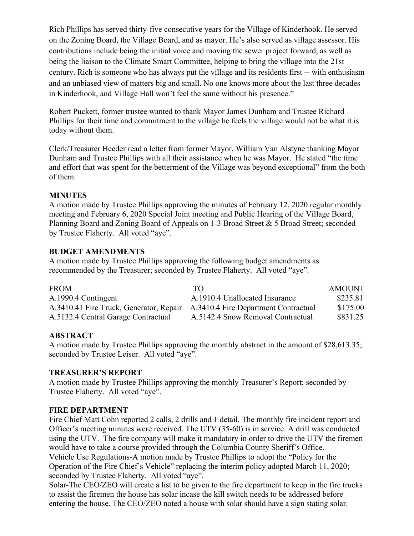Rich Phillips has served thirty-five consecutive years for the Village of Kinderhook. He served on the Zoning Board, the Village Board, and as mayor. He's also served as village assessor. His contributions include being the initial voice and moving the sewer project forward, as well as being the liaison to the Climate Smart Committee, helping to bring the village into the 21st century. Rich is someone who has always put the village and its residents first -- with enthusiasm and an unbiased view of matters big and small. No one knows more about the last three decades in Kinderhook, and Village Hall won't feel the same without his presence."

Robert Puckett, former trustee wanted to thank Mayor James Dunham and Trustee Richard Phillips for their time and commitment to the village he feels the village would not be what it is today without them.

Clerk/Treasurer Heeder read a letter from former Mayor, William Van Alstyne thanking Mayor Dunham and Trustee Phillips with all their assistance when he was Mayor. He stated "the time and effort that was spent for the betterment of the Village was beyond exceptional" from the both of them.

### **MINUTES**

A motion made by Trustee Phillips approving the minutes of February 12, 2020 regular monthly meeting and February 6, 2020 Special Joint meeting and Public Hearing of the Village Board, Planning Board and Zoning Board of Appeals on 1-3 Broad Street & 5 Broad Street; seconded by Trustee Flaherty. All voted "aye".

### **BUDGET AMENDMENTS**

A motion made by Trustee Phillips approving the following budget amendments as recommended by the Treasurer; seconded by Trustee Flaherty. All voted "aye".

| <b>FROM</b>                             | TO                                   | <b>AMOUNT</b> |
|-----------------------------------------|--------------------------------------|---------------|
| A.1990.4 Contingent                     | A.1910.4 Unallocated Insurance       | \$235.81      |
| A.3410.41 Fire Truck, Generator, Repair | A.3410.4 Fire Department Contractual | \$175.00      |
| A.5132.4 Central Garage Contractual     | A.5142.4 Snow Removal Contractual    | \$831.25      |

# **ABSTRACT**

A motion made by Trustee Phillips approving the monthly abstract in the amount of \$28,613.35; seconded by Trustee Leiser. All voted "aye".

#### **TREASURER'S REPORT**

A motion made by Trustee Phillips approving the monthly Treasurer's Report; seconded by Trustee Flaherty. All voted "aye".

#### **FIRE DEPARTMENT**

Fire Chief Matt Cohn reported 2 calls, 2 drills and 1 detail. The monthly fire incident report and Officer's meeting minutes were received. The UTV (35-60) is in service. A drill was conducted using the UTV. The fire company will make it mandatory in order to drive the UTV the firemen would have to take a course provided through the Columbia County Sheriff's Office.

Vehicle Use Regulations-A motion made by Trustee Phillips to adopt the "Policy for the Operation of the Fire Chief's Vehicle" replacing the interim policy adopted March 11, 2020; seconded by Trustee Flaherty. All voted "aye".

Solar-The CEO/ZEO will create a list to be given to the fire department to keep in the fire trucks to assist the firemen the house has solar incase the kill switch needs to be addressed before entering the house. The CEO/ZEO noted a house with solar should have a sign stating solar.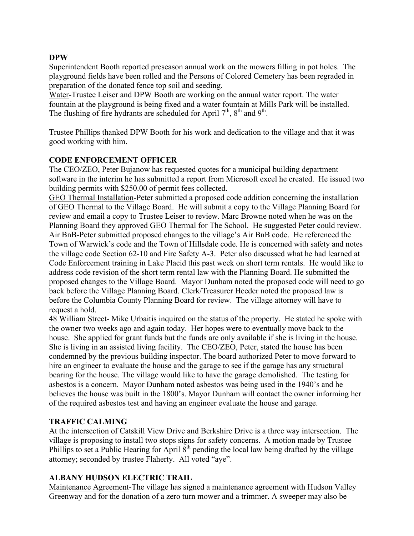### **DPW**

Superintendent Booth reported preseason annual work on the mowers filling in pot holes. The playground fields have been rolled and the Persons of Colored Cemetery has been regraded in preparation of the donated fence top soil and seeding.

Water-Trustee Leiser and DPW Booth are working on the annual water report. The water fountain at the playground is being fixed and a water fountain at Mills Park will be installed. The flushing of fire hydrants are scheduled for April  $7<sup>th</sup>$ ,  $8<sup>th</sup>$  and  $9<sup>th</sup>$ .

Trustee Phillips thanked DPW Booth for his work and dedication to the village and that it was good working with him.

#### **CODE ENFORCEMENT OFFICER**

The CEO/ZEO, Peter Bujanow has requested quotes for a municipal building department software in the interim he has submitted a report from Microsoft excel he created. He issued two building permits with \$250.00 of permit fees collected.

GEO Thermal Installation-Peter submitted a proposed code addition concerning the installation of GEO Thermal to the Village Board. He will submit a copy to the Village Planning Board for review and email a copy to Trustee Leiser to review. Marc Browne noted when he was on the Planning Board they approved GEO Thermal for The School. He suggested Peter could review. Air BnB-Peter submitted proposed changes to the village's Air BnB code. He referenced the Town of Warwick's code and the Town of Hillsdale code. He is concerned with safety and notes the village code Section 62-10 and Fire Safety A-3. Peter also discussed what he had learned at Code Enforcement training in Lake Placid this past week on short term rentals. He would like to address code revision of the short term rental law with the Planning Board. He submitted the proposed changes to the Village Board. Mayor Dunham noted the proposed code will need to go back before the Village Planning Board. Clerk/Treasurer Heeder noted the proposed law is before the Columbia County Planning Board for review. The village attorney will have to request a hold.

48 William Street- Mike Urbaitis inquired on the status of the property. He stated he spoke with the owner two weeks ago and again today. Her hopes were to eventually move back to the house. She applied for grant funds but the funds are only available if she is living in the house. She is living in an assisted living facility. The CEO/ZEO, Peter, stated the house has been condemned by the previous building inspector. The board authorized Peter to move forward to hire an engineer to evaluate the house and the garage to see if the garage has any structural bearing for the house. The village would like to have the garage demolished. The testing for asbestos is a concern. Mayor Dunham noted asbestos was being used in the 1940's and he believes the house was built in the 1800's. Mayor Dunham will contact the owner informing her of the required asbestos test and having an engineer evaluate the house and garage.

# **TRAFFIC CALMING**

At the intersection of Catskill View Drive and Berkshire Drive is a three way intersection. The village is proposing to install two stops signs for safety concerns. A motion made by Trustee Phillips to set a Public Hearing for April  $8<sup>th</sup>$  pending the local law being drafted by the village attorney; seconded by trustee Flaherty. All voted "aye".

#### **ALBANY HUDSON ELECTRIC TRAIL**

Maintenance Agreement-The village has signed a maintenance agreement with Hudson Valley Greenway and for the donation of a zero turn mower and a trimmer. A sweeper may also be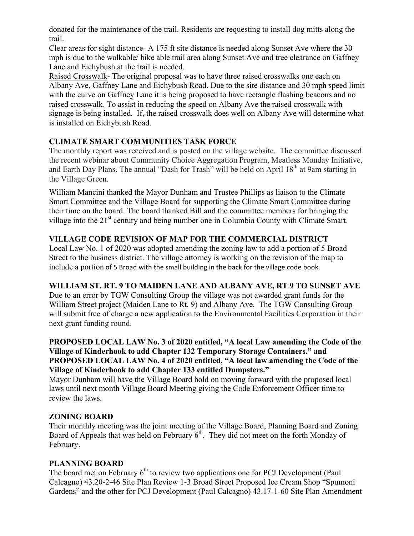donated for the maintenance of the trail. Residents are requesting to install dog mitts along the trail.

Clear areas for sight distance- A 175 ft site distance is needed along Sunset Ave where the 30 mph is due to the walkable/ bike able trail area along Sunset Ave and tree clearance on Gaffney Lane and Eichybush at the trail is needed.

Raised Crosswalk- The original proposal was to have three raised crosswalks one each on Albany Ave, Gaffney Lane and Eichybush Road. Due to the site distance and 30 mph speed limit with the curve on Gaffney Lane it is being proposed to have rectangle flashing beacons and no raised crosswalk. To assist in reducing the speed on Albany Ave the raised crosswalk with signage is being installed. If, the raised crosswalk does well on Albany Ave will determine what is installed on Eichybush Road.

# **CLIMATE SMART COMMUNITIES TASK FORCE**

The monthly report was received and is posted on the village website. The committee discussed the recent webinar about Community Choice Aggregation Program, Meatless Monday Initiative, and Earth Day Plans. The annual "Dash for Trash" will be held on April 18<sup>th</sup> at 9am starting in the Village Green.

William Mancini thanked the Mayor Dunham and Trustee Phillips as liaison to the Climate Smart Committee and the Village Board for supporting the Climate Smart Committee during their time on the board. The board thanked Bill and the committee members for bringing the village into the 21<sup>st</sup> century and being number one in Columbia County with Climate Smart.

# **VILLAGE CODE REVISION OF MAP FOR THE COMMERCIAL DISTRICT**

Local Law No. 1 of 2020 was adopted amending the zoning law to add a portion of 5 Broad Street to the business district. The village attorney is working on the revision of the map to include a portion of 5 Broad with the small building in the back for the village code book.

# **WILLIAM ST. RT. 9 TO MAIDEN LANE AND ALBANY AVE, RT 9 TO SUNSET AVE**

Due to an error by TGW Consulting Group the village was not awarded grant funds for the William Street project (Maiden Lane to Rt. 9) and Albany Ave. The TGW Consulting Group will submit free of charge a new application to the Environmental Facilities Corporation in their next grant funding round.

#### **PROPOSED LOCAL LAW No. 3 of 2020 entitled, "A local Law amending the Code of the Village of Kinderhook to add Chapter 132 Temporary Storage Containers." and PROPOSED LOCAL LAW No. 4 of 2020 entitled, "A local law amending the Code of the Village of Kinderhook to add Chapter 133 entitled Dumpsters."**

Mayor Dunham will have the Village Board hold on moving forward with the proposed local laws until next month Village Board Meeting giving the Code Enforcement Officer time to review the laws.

# **ZONING BOARD**

Their monthly meeting was the joint meeting of the Village Board, Planning Board and Zoning Board of Appeals that was held on February  $6<sup>th</sup>$ . They did not meet on the forth Monday of February.

# **PLANNING BOARD**

The board met on February  $6<sup>th</sup>$  to review two applications one for PCJ Development (Paul Calcagno) 43.20-2-46 Site Plan Review 1-3 Broad Street Proposed Ice Cream Shop "Spumoni Gardens" and the other for PCJ Development (Paul Calcagno) 43.17-1-60 Site Plan Amendment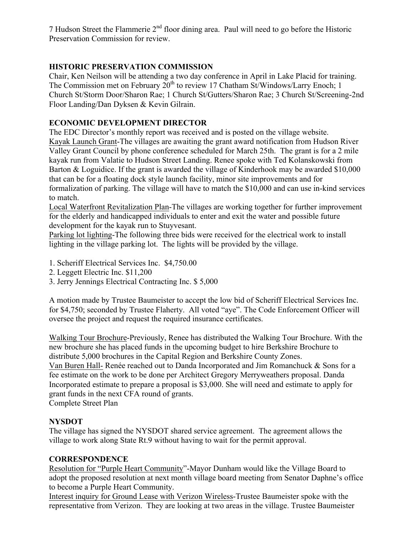7 Hudson Street the Flammerie  $2<sup>nd</sup>$  floor dining area. Paul will need to go before the Historic Preservation Commission for review.

# **HISTORIC PRESERVATION COMMISSION**

Chair, Ken Neilson will be attending a two day conference in April in Lake Placid for training. The Commission met on February 20<sup>th</sup> to review 17 Chatham St/Windows/Larry Enoch; 1 Church St/Storm Door/Sharon Rae; 1 Church St/Gutters/Sharon Rae; 3 Church St/Screening-2nd Floor Landing/Dan Dyksen & Kevin Gilrain.

# **ECONOMIC DEVELOPMENT DIRECTOR**

The EDC Director's monthly report was received and is posted on the village website. Kayak Launch Grant-The villages are awaiting the grant award notification from Hudson River Valley Grant Council by phone conference scheduled for March 25th. The grant is for a 2 mile kayak run from Valatie to Hudson Street Landing. Renee spoke with Ted Kolanskowski from Barton & Loguidice. If the grant is awarded the village of Kinderhook may be awarded \$10,000 that can be for a floating dock style launch facility, minor site improvements and for formalization of parking. The village will have to match the \$10,000 and can use in-kind services to match.

Local Waterfront Revitalization Plan-The villages are working together for further improvement for the elderly and handicapped individuals to enter and exit the water and possible future development for the kayak run to Stuyvesant.

Parking lot lighting-The following three bids were received for the electrical work to install lighting in the village parking lot. The lights will be provided by the village.

- 1. Scheriff Electrical Services Inc. \$4,750.00
- 2. Leggett Electric Inc. \$11,200
- 3. Jerry Jennings Electrical Contracting Inc. \$ 5,000

A motion made by Trustee Baumeister to accept the low bid of Scheriff Electrical Services Inc. for \$4,750; seconded by Trustee Flaherty. All voted "aye". The Code Enforcement Officer will oversee the project and request the required insurance certificates.

Walking Tour Brochure-Previously, Renee has distributed the Walking Tour Brochure. With the new brochure she has placed funds in the upcoming budget to hire Berkshire Brochure to distribute 5,000 brochures in the Capital Region and Berkshire County Zones.

Van Buren Hall- Renée reached out to Danda Incorporated and Jim Romanchuck & Sons for a fee estimate on the work to be done per Architect Gregory Merryweathers proposal. Danda Incorporated estimate to prepare a proposal is \$3,000. She will need and estimate to apply for grant funds in the next CFA round of grants.

Complete Street Plan

# **NYSDOT**

The village has signed the NYSDOT shared service agreement. The agreement allows the village to work along State Rt.9 without having to wait for the permit approval.

# **CORRESPONDENCE**

Resolution for "Purple Heart Community"-Mayor Dunham would like the Village Board to adopt the proposed resolution at next month village board meeting from Senator Daphne's office to become a Purple Heart Community.

Interest inquiry for Ground Lease with Verizon Wireless-Trustee Baumeister spoke with the representative from Verizon. They are looking at two areas in the village. Trustee Baumeister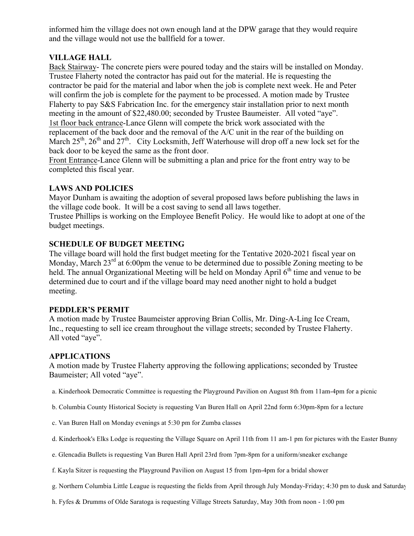informed him the village does not own enough land at the DPW garage that they would require and the village would not use the ballfield for a tower.

### **VILLAGE HALL**

Back Stairway- The concrete piers were poured today and the stairs will be installed on Monday. Trustee Flaherty noted the contractor has paid out for the material. He is requesting the contractor be paid for the material and labor when the job is complete next week. He and Peter will confirm the job is complete for the payment to be processed. A motion made by Trustee Flaherty to pay S&S Fabrication Inc. for the emergency stair installation prior to next month meeting in the amount of \$22,480.00; seconded by Trustee Baumeister. All voted "aye". 1st floor back entrance-Lance Glenn will compete the brick work associated with the replacement of the back door and the removal of the A/C unit in the rear of the building on March  $25<sup>th</sup>$ ,  $26<sup>th</sup>$  and  $27<sup>th</sup>$ . City Locksmith, Jeff Waterhouse will drop off a new lock set for the back door to be keyed the same as the front door.

Front Entrance-Lance Glenn will be submitting a plan and price for the front entry way to be completed this fiscal year.

# **LAWS AND POLICIES**

Mayor Dunham is awaiting the adoption of several proposed laws before publishing the laws in the village code book. It will be a cost saving to send all laws together.

Trustee Phillips is working on the Employee Benefit Policy. He would like to adopt at one of the budget meetings.

### **SCHEDULE OF BUDGET MEETING**

The village board will hold the first budget meeting for the Tentative 2020-2021 fiscal year on Monday, March  $23<sup>rd</sup>$  at 6:00pm the venue to be determined due to possible Zoning meeting to be held. The annual Organizational Meeting will be held on Monday April  $6<sup>th</sup>$  time and venue to be determined due to court and if the village board may need another night to hold a budget meeting.

### **PEDDLER'S PERMIT**

A motion made by Trustee Baumeister approving Brian Collis, Mr. Ding-A-Ling Ice Cream, Inc., requesting to sell ice cream throughout the village streets; seconded by Trustee Flaherty. All voted "aye".

#### **APPLICATIONS**

A motion made by Trustee Flaherty approving the following applications; seconded by Trustee Baumeister; All voted "aye".

- a. Kinderhook Democratic Committee is requesting the Playground Pavilion on August 8th from 11am-4pm for a picnic
- b. Columbia County Historical Society is requesting Van Buren Hall on April 22nd form 6:30pm-8pm for a lecture
- c. Van Buren Hall on Monday evenings at 5:30 pm for Zumba classes
- d. Kinderhook's Elks Lodge is requesting the Village Square on April 11th from 11 am-1 pm for pictures with the Easter Bunny
- e. Glencadia Bullets is requesting Van Buren Hall April 23rd from 7pm-8pm for a uniform/sneaker exchange

f. Kayla Sitzer is requesting the Playground Pavilion on August 15 from 1pm-4pm for a bridal shower

- g. Northern Columbia Little League is requesting the fields from April through July Monday-Friday; 4:30 pm to dusk and Saturdays
- h. Fyfes & Drumms of Olde Saratoga is requesting Village Streets Saturday, May 30th from noon 1:00 pm